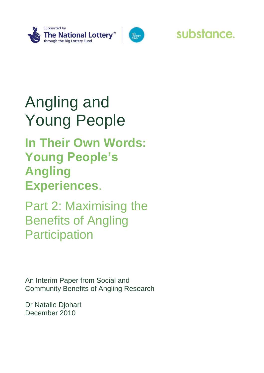



## substance.

# Angling and Young People

## **In Their Own Words: Young People's Angling Experiences**.

Part 2: Maximising the Benefits of Angling **Participation** 

An Interim Paper from Social and Community Benefits of Angling Research

Dr Natalie Djohari December 2010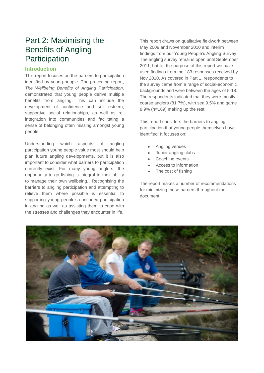### Part 2: Maximising the Benefits of Angling **Participation**

#### **Introduction**

This report focuses on the barriers to participation identified by young people. The preceding report, *The Wellbeing Benefits of Angling Participation,* demonstrated that young people derive multiple benefits from angling. This can include the development of confidence and self esteem, supportive social relationships, as well as reintegration into communities and facilitating a sense of belonging often missing amongst young people.

Understanding which aspects of angling participation young people value most should help plan future angling developments, but it is also important to consider what barriers to participation currently exist. For many young anglers, the opportunity to go fishing is integral to their ability to manage their own wellbeing. Recognising the barriers to angling participation and attempting to relieve them where possible is essential to supporting young people's continued participation in angling as well as assisting them to cope with the stresses and challenges they encounter in life.

This report draws on qualitative fieldwork between May 2009 and November 2010 and interim findings from our Young People's Angling Survey. The angling survey remains open until September 2011, but for the purpose of this report we have used findings from the 183 responses received by Nov 2010. As covered in Part 1, respondents to the survey came from a range of social-economic backgrounds and were between the ages of 5-18. The respondents indicated that they were mostly coarse anglers (81.7%), with sea 9.5% and game 8.9% (n=169) making up the rest.

This report considers the barriers to angling participation that young people themselves have identified. It focuses on:

- Angling venues
- Junior angling clubs
- Coaching events
- Access to information
- The cost of fishing

The report makes a number of recommendations for minimizing these barriers throughout the document.

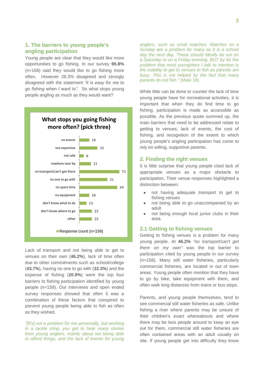#### **1. The barriers to young people's angling participation**

Young people are clear that they would like more opportunities to go fishing. In our survey **95.8%** (n=168) said they would like to go fishing more often. However 28.3% disagreed and strongly disagreed with the statement *"it is easy for me to go fishing when I want to".* So what stops young people angling as much as they would want?



Lack of transport and not being able to get to venues on their own (**46.2%**), lack of time often due to other commitments such as school/college (**43.7%**), having no one to go with (**32.3%**) and the expense of fishing (**20.9%**) were the top four barriers to fishing participation identified by young people (n=158). Our interviews and open ended survey responses showed that often it was a combination of these factors that conspired to prevent young people being able to fish as often as they wished.

*"[It's] not a problem for me personally, but working in a tackle shop, you get to hear many stories from young anglers, mainly about not being able to afford things, and the lack of events for young*  *anglers, such as small matches. Matches on a Sunday are a problem for many as it is a school day the next day. These should ideally be run on a Saturday or on a Friday evening. BUT by far the problem that most youngsters I talk to mention is the inability to get to venues to fish as parents are busy. This is not helped by the fact that many parents do not fish."* (Male 18)

While little can be done to counter the lack of time young people have for recreational activities, it is important that when they do find time to go fishing, participation is made as accessible as possible. As the previous quote summed up, the main barriers that need to be addressed relate to getting to venues, lack of events, the cost of fishing, and recognition of the extent to which young people's angling participation has come to rely on willing, supportive parents.

#### **2. Finding the right venues**

It is little surprise that young people cited lack of appropriate venues as a major obstacle to participation. Their venue responses highlighted a distinction between:

- not having adequate transport to get to fishing venues
- not being able to go unaccompanied by an adult
- not being enough local junior clubs in their area.

#### **2.1 Getting to fishing venues**

Getting to fishing venues is a problem for many young people. At **46.2%** *"no transport/can't get there on my own"* was the top barrier to participation cited by young people in our survey (n=158). Many still water fisheries, particularly commercial fisheries, are located in out of town areas. Young people often mention that they have to go by bike, take equipment with them, and often walk long distances from trains or bus stops.

Parents, and young people themselves, tend to see commercial still water fisheries as safe. Unlike fishing a river where parents may be unsure of their children's exact whereabouts and where there may be less people around to keep an eye out for them, commercial still water fisheries are often contained areas with an adult usually on site. If young people get into difficulty they know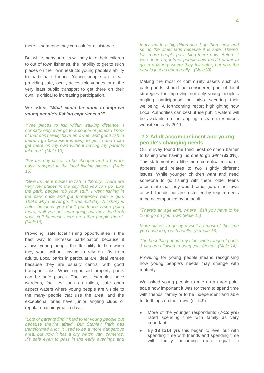there is someone they can ask for assistance.

But while many parents willingly take their children to out of town fisheries, the inability to get to such places on their own restricts young people's ability to participate further. Young people are clear: providing safe, locally accessible venues, or at the very least public transport to get there on their own, is critical to increasing participation.

#### We asked *"What could be done to improve young people's fishing experiences?"*

*"Free places to fish within walking distance. I normally only ever go to a couple of ponds I know of that don't really have an owner and good fish in there. I go because it is easy to get to and I can get there on my own without having my parents take me". (Male 13)*

*"For the day tickets to be cheaper and a bus for easy transport to the local fishing places". (Male 16)*

*"Give us more places to fish in the city. There are very few places in the city that you can go. Like the park, people rob your stuff. I went fishing in the park once and got threatened with a gun. That"s why I never go. It was mid day. A fishery is safer because you don"t get these types going there, well you get them going but they don"t rob your stuff because there are other people there". (Male16)*

Providing, safe local fishing opportunities is the best way to increase participation because it allows young people the flexibility to fish when they want without having to rely on lifts from adults. Local parks in particular are ideal venues because they are usually central with good transport links. When organised properly parks can be safe places. The best examples have wardens, facilities such as toilets, safe open aspect waters where young people are visible to the many people that use the area, and the exceptional ones have junior angling clubs or regular coaching/match days.

*"Lots of parents find it hard to let young people out because they"re afraid. But Stanley Park has transformed a lot. It used to be a more dangerous area, but now it has a city watch van, cameras. It"s safe even to pass in the early evenings and*  *that"s made a big difference. I go there now and so do the other lads because it is safe. There's lots more people go fishing there now. Before it was done up, lots of people said they"d prefer to go to a fishery where they felt safer, but now the park is just as good really." (Male18)*

Making the most of community assets such as park ponds should be considered part of local strategies for improving not only young people's angling participation but also securing their wellbeing. A forthcoming report highlighting how Local Authorities can best utilise public waters will be available on the angling research resources website in early 2011.

#### **2.2 Adult accompaniment and young people's changing needs**

Our survey found the third most common barrier to fishing was having "*no one to go with"* (**32.3%**). This statement is a little more complicated than it appears and relates to two slightly different issues. While younger children want and need someone to go fishing with them, older teens often state that they would rather go on their own or with friends but are restricted by requirements to be accompanied by an adult.

*"There's an age limit, where I fish you have to be 16 to go on your own (Male 15)*

*More places to go by myself as most of the time you have to go with adults. (Female 13)* 

*The best thing about my club: wide range of pools & you are allowed to bring your friends. (Male 14)*

Providing for young people means recognising how young people's needs may change with maturity.

We asked young people to rate on a three point scale how important it was for them to spend time with friends, family or to be independent and able to do things on their own. (n=149)

- More of the younger respondents (**7-12 yrs**) rated spending time with family as very important.
- By **13 to14 yrs** this began to level out with spending time with friends and spending time with family becoming more equal in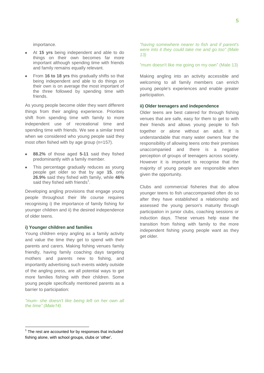importance.

- At **15 yrs** being independent and able to do  $\bullet$ things on their own becomes far more important although spending time with friends and family remains equally relevant.
- From **16 to 18 yrs** this gradually shifts so that being independent and able to do things on their own is on average the most important of the three followed by spending time with friends.

As young people become older they want different things from their angling experience. Priorities shift from spending time with family to more independent use of recreational time and spending time with friends. We see a similar trend when we considered who young people said they most often fished with by age group (n=157).

- **88.2%** of those aged **5-11** said they fished predominantly with a family member.
- This percentage gradually reduces as young people get older so that by age **15**, only **26.9%** said they fished with family, while **46%** said they fished with friends $^1$ .

Developing angling provisions that engage young people throughout their life course requires recognising i) the importance of family fishing for younger children and ii) the desired independence of older teens.

#### **i) Younger children and families**

Young children enjoy angling as a family activity and value the time they get to spend with their parents and carers. Making fishing venues family friendly, having family coaching days targeting mothers and parents new to fishing, and importantly advertising such events widely outside of the angling press, are all potential ways to get more families fishing with their children. Some young people specifically mentioned parents as a barrier to participation:

*"mum- she doesn't like being left on her own all the time" (Male14)*

 $\overline{a}$ 

*"having somewhere nearer to fish and if parent's were into it they could take me and go too" (Male 13)*

"mum doesn't like me going on my own" (Male 13)

Making angling into an activity accessible and welcoming to all family members can enrich young people's experiences and enable greater participation.

#### **ii) Older teenagers and independence**

Older teens are best catered for through fishing venues that are safe, easy for them to get to with their friends and allows young people to fish together or alone without an adult. It is understandable that many water owners fear the responsibility of allowing teens onto their premises unaccompanied and there is a negative perception of groups of teenagers across society. However it is important to recognise that the majority of young people are responsible when given the opportunity.

Clubs and commercial fisheries that do allow younger teens to fish unaccompanied often do so after they have established a relationship and assessed the young person's maturity through participation in junior clubs, coaching sessions or induction days. These venues help ease the transition from fishing with family to the more independent fishing young people want as they get older.

 $1$  The rest are accounted for by responses that included fishing alone, with school groups, clubs or "other".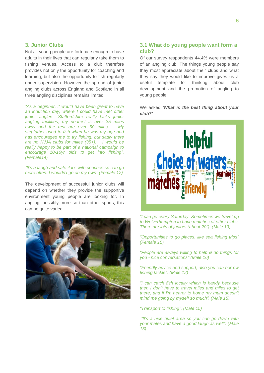#### **3. Junior Clubs**

Not all young people are fortunate enough to have adults in their lives that can regularly take them to fishing venues. Access to a club therefore provides not only the opportunity for coaching and learning, but also the opportunity to fish regularly under supervision. However the spread of junior angling clubs across England and Scotland in all three angling disciplines remains limited.

*"As a beginner, it would have been great to have an induction day, where I could have met other junior anglers. Staffordshire really lacks junior angling facilities, my nearest is over 35 miles away and the rest are over 50 miles. My stepfather used to fish when he was my age and has encouraged me to try fishing, but sadly there are no NJJA clubs for miles (35+). I would be really happy to be part of a national campaign to encourage 10-16yr olds to get into fishing". (Female14)*

#### *"It's a laugh and safe if it's with coaches so can go more often. I wouldn't go on my own" (Female 12)*

The development of successful junior clubs will depend on whether they provide the supportive environment young people are looking for. In angling, possibly more so than other sports, this can be quite varied.



#### **3.1 What do young people want form a club?**

Of our survey respondents 44.4% were members of an angling club. The things young people say they most appreciate about their clubs and what they say they would like to improve gives us a useful template for thinking about club development and the promotion of angling to young people.

We asked *'What is the best thing about your club?'*



*"I can go every Saturday. Sometimes we travel up to Wolverhampton to have matches at other clubs. There are lots of juniors (about 20"). (Male 13)*

*"Opportunities to go places, like sea fishing trips" (Female 15)*

*"People are always willing to help & do things for you - nice conversations" (Male 16)*

*"Friendly advice and support, also you can borrow fishing tackle". (Male 12)*

*"I can catch fish locally which is handy because then I don't have to travel miles and miles to get there, and if I'm nearer to home my mum doesn't mind me going by myself so much". (Male 15)*

*"Transport to fishing". (Male 15)*

*"It's a nice quiet area so you can go down with your mates and have a good laugh as well". (Male 15)*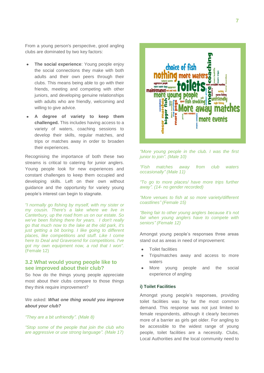From a young person's perspective, good angling clubs are dominated by two key factors:

- **The social experience**: Young people enjoy  $\bullet$ the social connections they make with both adults and their own peers through their clubs. This means being able to go with their friends, meeting and competing with other juniors, and developing genuine relationships with adults who are friendly, welcoming and willing to give advice.
- **A degree of variety to keep them challenged.** This includes having access to a variety of waters, coaching sessions to develop their skills, regular matches, and trips or matches away in order to broaden their experiences.

Recognising the importance of both these two streams is critical to catering for junior anglers. Young people look for new experiences and constant challenges to keep them occupied and developing skills. Left on their own without guidance and the opportunity for variety young people"s interest can begin to stagnate.

*"I normally go fishing by myself, with my sister or my cousin. There's a lake where we live in Canterbury, up the road from us on our estate. So we've been fishing there for years. I don't really go that much now to the lake at the old park, it's just getting a bit boring. I like going to different places, like competitions and stuff. Like I come here to Deal and Gravesend for competitions. I've got my own equipment now, a rod that I won".*  (Female 12)

#### **3.2 What would young people like to see improved about their club?**

So how do the things young people appreciate most about their clubs compare to those things they think require improvement?

#### We asked: *What one thing would you improve about your club?*

#### *"They are a bit unfriendly". (Male 8)*

*"Stop some of the people that join the club who are aggressive or use strong language". (Male 17)*



*"More young people in the club. I was the first junior to join". (Male 10)*

*"Fish matches away from club waters occasionally" (Male 11)*

*"To go to more places/ have more trips further away". (14- no gender recorded)*

*"More venues to fish at so more variety/different coastlines" (Female 15)*

*"Being fair to other young anglers because it"s not fair when young anglers have to compete with seniors" (Female 12)*

Amongst young people"s responses three areas stand out as areas in need of improvement:

- Toilet facilities
- Trips/matches away and access to more waters
- More young people and the social experience of angling

#### **i) Toilet Facilities**

Amongst young people"s responses, providing toilet facilities was by far the most common demand. This response was not just limited to female respondents, although it clearly becomes more of a barrier as girls get older. For angling to be accessible to the widest range of young people, toilet facilities are a necessity. Clubs, Local Authorities and the local community need to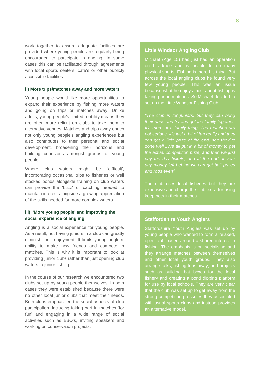work together to ensure adequate facilities are provided where young people are regularly being encouraged to participate in angling. In some cases this can be facilitated through agreements with local sports centers, café's or other publicly accessible facilities.

#### **ii) More trips/matches away and more waters**

Young people would like more opportunities to expand their experience by fishing more waters and going on trips or matches away. Unlike adults, young people's limited mobility means they are often more reliant on clubs to take them to alternative venues. Matches and trips away enrich not only young people's angling experiences but also contributes to their personal and social development, broadening their horizons and building cohesions amongst groups of young people.

Where club waters might be 'difficult', incorporating occasional trips to fisheries or well stocked ponds alongside training on club waters can provide the 'buzz' of catching needed to maintain interest alongside a growing appreciation of the skills needed for more complex waters.

#### **iii) 'More young people' and improving the social experience of angling**

Angling is a social experience for young people. As a result, not having juniors in a club can greatly diminish their enjoyment. It limits young anglers' ability to make new friends and compete in matches. This is why it is important to look at providing junior clubs rather than just opening club waters to junior fishing.

In the course of our research we encountered two clubs set up by young people themselves. In both cases they were established because there were no other local junior clubs that meet their needs. Both clubs emphasised the social aspects of club participation, including taking part in matches "for fun" and engaging in a wide range of social activities such as BBQ"s, inviting speakers and working on conservation projects.

#### **Little Windsor Angling Club**

Michael (Age 15) has just had an operation on his knee and is unable to do many physical sports. Fishing is more his thing. But across the local angling clubs he found very few young people. This was an issue because what he enjoys most about fishing is taking part in matches. So Michael decided to set up the Little Windsor Fishing Club.

*"The club is for juniors, but they can bring their dads and try and get the family together. It"s more of a family thing. The matches are not serious, it"s just a bit of fun really and they can get a little prize at the end, see they"ve done well...We all put in a bit of money to get the actual competition prize, and then we just pay the day tickets, and at the end of year any money left behind we can get bait prizes and rods even"*

The club uses local fisheries but they are expensive and charge the club extra for using keep nets in their matches.

#### **Staffordshire Youth Anglers**

Staffordshire Youth Anglers was set up by young people who wanted to form a relaxed, open club based around a shared interest in fishing. The emphasis is on socialising and they arrange matches between themselves and other local youth groups. They also arrange talks, fishing trips away, and projects such as building bat boxes for the local fishery and creating a pond dipping platform for use by local schools. They are very clear that the club was set up to get away from the strong competition pressures they associated with usual sports clubs and instead provides an alternative model.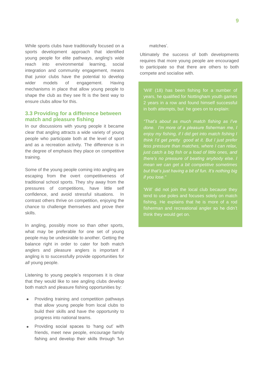While sports clubs have traditionally focused on a sports development approach that identified young people for elite pathways, angling's wide reach into environmental learning, social integration and community engagement, means that junior clubs have the potential to develop wider models of engagement. Having mechanisms in place that allow young people to shape the club as they see fit is the best way to ensure clubs allow for this.

#### **3.3 Providing for a difference between match and pleasure fishing**

In our discussions with young people it became clear that angling attracts a wide variety of young people who participate both at the level of sport and as a recreation activity. The difference is in the degree of emphasis they place on competitive training.

Some of the young people coming into angling are escaping from the overt competitiveness of traditional school sports. They shy away from the pressures of competitions, have little self confidence, and avoid stressful situations. In contrast others thrive on competition, enjoying the chance to challenge themselves and prove their skills.

In angling, possibly more so than other sports, what may be preferable for one set of young people may be undesirable to another. Getting the balance right in order to cater for both match anglers and pleasure anglers is important if angling is to successfully provide opportunities for all young people.

Listening to young people's responses it is clear that they would like to see angling clubs develop both match and pleasure fishing opportunities by:

- Providing training and competition pathways that allow young people from local clubs to build their skills and have the opportunity to progress into national teams.
- Providing social spaces to 'hang out' with friends, meet new people, encourage family fishing and develop their skills through "fun

#### matches".

Ultimately the success of both developments requires that more young people are encouraged to participate so that there are others to both compete and socialise with.

'Will' (18) has been fishing for a number of years, he qualified for Nottingham youth games in both attempts, but he goes on to explain:

*"That"s about as much match fishing as I"ve done. I"m more of a pleasure fisherman me, I enjoy my fishing, if I did get into match fishing I think I"d get pretty good at it. But I just prefer less pressure than matches, where I can relax, just catch a big fish or a load of little ones, and there"s no pressure of beating anybody else. I mean we can get a bit competitive sometimes but that"s just having a bit of fun. It"s nothing big if you lose."*

"Will" did not join the local club because they tend to use poles and focuses solely on match fishing. He explains that he is more of a rod fisherman and recreational angler so he didn"t think they would get on.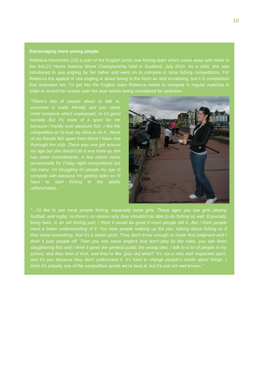#### **Encouraging more young people**

Rebbeca Hurcombe (15) is part of the English junior sea fishing team which came away with silver in the SALC1 Home Nations Shore Championship held in Scotland, July 2010. As a child, she was introduced to sea angling by her father and went on to compete in local fishing competitions. For Rebecca the appeal of sea angling is about being in the fresh air and socialising, but it is competition that motivates her. To get into the English team Rebecca needs to compete in regular matches in order to record her scores over the year before being considered for selection.

*"There's lots of people about to talk to, everyone is really friendly and you rarely meet someone who's unpleasant, so it's good socially...But it's more of a sport for me because I hardly ever pleasure fish. I like the competition or I"d lose my drive to do it...None of my friends fish apart from those I have met thorough the club. There was one girl around my age but she doesn't do it any more as she occasionally for Friday night competitions but not many. I'm struggling for people my age to compete with because I'm getting older so I'll have to start fishing in the adults unfortunately…"*



 *football, and rugby, so there's no reason why they shouldn't be able to do fishing as well. Especially "…I'd like to see more people fishing, especially more girls. These ages you see girls playing living here, in an old fishing port, I think it would be great if more people did it...But I think people need a better understanding of it. You hear people walking up the pier, talking about fishing as if they know everything, that it's a blood sport. They don't know enough to make that judgment and I think it puts people off. Then you see some anglers that don't play by the rules, you see them slaughtering fish and I think it gives the general public the wrong idea. I talk to a lot of people in my school, and they kind of look, and they're like "[you do] what?" It's not a very well respected sport, and it's just because they don't understand it. It's hard to change people's minds about things. I think it's actually one of the competitive sports we"re best at, but it"s just not well known."*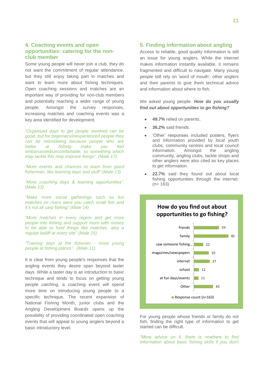#### **4. Coaching events and open opportunities: catering for the nonclub member**

Some young people will never join a club, they do not want the commitment of regular attendance, but they still enjoy taking part in matches and want to learn more about fishing techniques. Open coaching sessions and matches are an important way of providing for non-club members and potentially reaching a wider range of young people. Amongst the survey responses, increasing matches and coaching events was a key area identified for development.

*"Organised days to get people involved can be good, but for beginners/inexperienced people they can be intimidating because people who are better at fishing make you feel embarrassed/uncomfortable, so something which may tackle this may improve things". (Male 17)*

*"More events and chances to learn from good fishermen. like learning days and stuff" (Male 13)*

*"More coaching days & learning opportunities". (Male 13)*

*"Make more social gatherings such as fun matches on rivers were you catch small fish and it"s not all carp fishing" (Male 14)*

*"More matches in every region and get more people into fishing and support more with money to be able to fund things like matches. also a regular bailiff at every site" (Male 15)*

*"Training days at the fisheries - more young people at fishing places". (Male 11)* 

It is clear from young people's responses that the angling events they desire span beyond taster days. While a taster day is an introduction to basic technique and tends to focus on getting young people catching, a coaching event will spend more time on introducing young people to a specific technique. The recent expansion of National Fishing Month, junior clubs and the Angling Development Boards opens up the possibility of providing coordinated open coaching events that will appeal to young anglers beyond a basic introductory level.

#### **5. Finding information about angling**

Access to reliable, good quality information is still an issue for young anglers. While the internet makes information instantly available, it remains fragmented and difficult to navigate. Many young people still rely on 'word of mouth', other anglers and their parents to give them technical advice and information about where to fish.

#### We asked young people: *How do you usually find out about opportunities to go fishing?*

- **49.7%** relied on parents,
- **36.2%** said friends.
- "Other" responses included posters, flyers and information provided by local youth clubs, community centres and local council information. Amongst the angling community, angling clubs, tackle shops and other anglers were also cited as key places to get information.
- **22.7%** said they found out about local fishing opportunities through the internet.  $(n= 163)$



For young people whose friends or family do not fish, finding the right type of information to get started can be difficult.

*"More advice on it, there is nowhere to find information about basic fishing skills if you don't*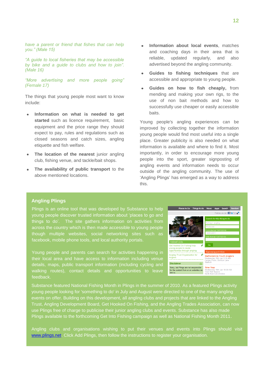*have a parent or friend that fishes that can help you." (Male 15)*

*"A guide to local fisheries that may be accessible by bike and a guide to clubs and how to join". (Male 16)*

*"More advertising and more people going" (Female 17)*

The things that young people most want to know include:

- **Information on what is needed to get**  started such as licence requirement, basic equipment and the price range they should expect to pay, rules and regulations such as closed seasons and catch sizes, angling etiquette and fish welfare.
- **The location of the nearest** junior angling club, fishing venue, and tackle/bait shops.
- **The availability of public transport** to the above mentioned locations.
- **Information about local events**, matches and coaching days in their area that is reliable, updated regularly, and also advertised beyond the angling community.
- **Guides to fishing techniques** that are accessible and appropriate to young people.
- **Guides on how to fish cheaply,** from mending and making your own rigs, to the use of non bait methods and how to successfully use cheaper or easily accessible baits.

Young people's angling experiences can be improved by collecting together the information young people would find most useful into a single place. Greater publicity is also needed on what information is available and where to find it. Most importantly, in order to encourage more young people into the sport, greater signposting of angling events and information needs to occur outside of the angling community. The use of 'Angling Plings' has emerged as a way to address this.

#### **Angling Plings**

Plings is an online tool that was developed by Substance to help young people discover trusted information about "places to go and things to do". The site gathers information on activities from across the country which is then made accessible to young people though multiple websites, social networking sites such as facebook, mobile phone tools, and local authority portals.

Young people and parents can search for activities happening in their local area and have access to information including venue details, maps, public transport information (including cycling and walking routes), contact details and opportunities to leave feedback.



Substance featured National Fishing Month in Plings in the summer of 2010. As a featured Plings activity young people looking for 'something to do' in July and August were directed to one of the many angling events on offer. Building on this development, all angling clubs and projects that are linked to the Angling Trust, Angling Development Board, Get Hooked On Fishing, and the Angling Trades Association, can now use Plings free of charge to publicise their junior angling clubs and events. Substance has also made Plings available to the forthcoming Get Into Fishing campaign as well as National Fishing Month 2011.

Angling clubs and organisations wishing to put their venues and events into Plings should visit [www.plings.net.](http://www.plings.net/) Click Add Plings, then follow the instructions to register your organisation.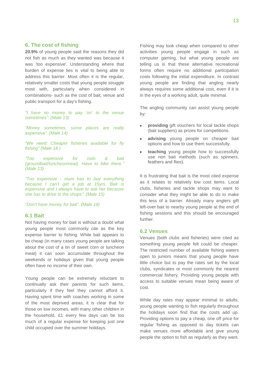#### **6. The cost of fishing**

**20.9%** of young people said the reasons they did not fish as much as they wanted was because it was 'too expensive'. Understanding where that burden of expense lies is vital to being able to address this barrier. Most often it is the regular, relatively smaller costs that young people struggle most with, particularly when considered in combinations- such as the cost of bait, venue and public transport for a day's fishing.

*"I have no money to pay 'on' to the venue sometimes". (Male 13)*

*"Money sometimes, some places are really expensive". (Male 14)*

*"We need: Cheaper fisheries available for fly fishing" (Male 18 )*

*"Too expensive for rods & bait (groundbait/luncheonmeat). Have to bike there." (Male 13)*

*"Too expensive - mum has to buy everything because I can"t get a job at 15yrs. Bait is expensive and I always have to ask her because she has to drive to the shops". (Male 15)* 

*"Don't have money for bait". (Male 16)*

#### **6.1 Bait**

Not having money for bait is without a doubt what young people most commonly cite as the key expense barrier to fishing. While bait appears to be cheap (in many cases young people are talking about the cost of a tin of sweet corn or luncheon meat) it can soon accumulate throughout the weekends or holidays given that young people often have no income of their own.

Young people can be extremely reluctant to continually ask their parents for such items, particularly if they feel they cannot afford it. Having spent time with coaches working in some of the most deprived areas, it is clear that for those on low incomes, with many other children in the household, £1 every few days can be too much of a regular expense for keeping just one child occupied over the summer holidays.

Fishing may look cheap when compared to other activities young people engage in such as computer gaming, but what young people are telling us is that these alternative recreational forms often require no additional participation costs following the initial expenditure. In contrast young people are finding that angling nearly always requires some additional cost, even if it is in the eyes of a working adult, quite minimal.

The angling community can assist young people by:

- **providing** gift vouchers for local tackle shops (bait suppliers) as prizes for competitions.
- **advising** young people on cheaper bait options and how to use them successfully.
- **teaching** young people how to successfully use non bait methods (such as spinners, feathers and flies).

It is frustrating that bait is the most cited expense as it relates to relatively low cost items. Local clubs, fisheries and tackle shops may want to consider what they might be able to do to make this less of a barrier. Already many anglers gift left-over bait to nearby young people at the end of fishing sessions and this should be encouraged further.

#### **6.2 Venues**

Venues (both clubs and fisheries) were cited as something young people felt could be cheaper. The restricted number of available fishing waters open to juniors means that young people have little choice but to pay the rates set by the local clubs, syndicates or most commonly the nearest commercial fishery. Providing young people with access to suitable venues mean being aware of cost.

While day rates may appear minimal to adults, young people wanting to fish regularly throughout the holidays soon find that the costs add up. Providing options to pay a cheap, one off price for regular fishing as opposed to day tickets can make venues more affordable and give young people the option to fish as regularly as they want.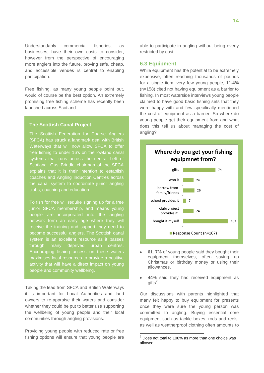Understandably commercial fisheries, as businesses, have their own costs to consider, however from the perspective of encouraging more anglers into the future, proving safe, cheap, and accessible venues is central to enabling participation.

Free fishing, as many young people point out, would of course be the best option. An extremely promising free fishing scheme has recently been launched across Scotland.

#### **The Scottish Canal Project**

The Scottish Federation for Coarse Anglers (SFCA) has struck a landmark deal with British Waterways that will now allow SFCA to offer free fishing to under 16's on the lowland canal systems that runs across the central belt of Scotland. Gus Brindle chairman of the SFCA explains that it is their intention to establish coaches and Angling Induction Centres across the canal system to coordinate junior angling clubs, coaching and education.

To fish for free will require signing up for a free people are incorporated into the angling network form an early age where they will receive the training and support they need to become successful anglers. The Scottish canal system is an excellent resource as it passes through many deprived urban centres. Encouraging fishing access on these waters maximises local resources to provide a positive activity that will have a direct impact on young people and community wellbeing.

Taking the lead from SFCA and British Waterways it is important for Local Authorities and land owners to re-appraise their waters and consider whether they could be put to better use supporting the wellbeing of young people and their local communities through angling provisions.

Providing young people with reduced rate or free fishing options will ensure that young people are

able to participate in angling without being overly restricted by cost.

#### **6.3 Equipment**

While equipment has the potential to be extremely expensive, often reaching thousands of pounds for a single item, very few young people, **11.4%** (n=158) cited not having equipment as a barrier to fishing. In most waterside interviews young people claimed to have good basic fishing sets that they were happy with and few specifically mentioned the cost of equipment as a barrier. So where do young people get their equipment from and what does this tell us about managing the cost of angling?



- **61. 7%** of young people said they bought their equipment themselves, often saving up Christmas or birthday money or using their allowances.
- **44%** said they had received equipment as  $g$ ifts<sup>2</sup>.

Our discussions with parents highlighted that many felt happy to buy equipment for presents once they were sure the young person was committed to angling. Buying essential core equipment such as tackle boxes, rods and reels, as well as weatherproof clothing often amounts to

 $\overline{a}$ 

 $2$  Does not total to 100% as more than one choice was allowed.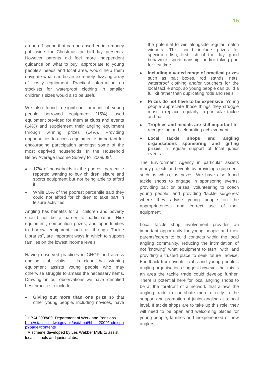a one off spend that can be absorbed into money put aside for Christmas or birthday presents. However parents did feel more independent guidance on what to buy, appropriate to young people's needs and local area, would help them navigate what can be an extremely dizzying array of costly equipment. Practical information on stockists for waterproof clothing in smaller children's sizes would also be useful.

We also found a significant amount of young people borrowed equipment (**15%**), used equipment provided for them at clubs and events (**14%**) and supplement their angling equipment through winning prizes (**14%**). Providing opportunities to access equipment is important for encouraging participation amongst some of the most deprived households. In the Household Below Average Income Survey for 2008/09 $3$ :

- **17%** of households in the poorest percentile reported wanting to buy children leisure and sports equipment but not being able to afford it.
- While **15%** of the poorest percentile said they could not afford for children to take part in leisure activities.

Angling has benefits for all children and poverty should not be a barrier to participation. Hire equipment, competition prizes, and opportunities to borrow equipment such as through Tackle Libraries<sup>4</sup>, are important ways in which to support families on the lowest income levels.

Having observed practices in GHOF and across angling club visits, it is clear that winning equipment assists young people who may otherwise struggle to amass the necessary items. Drawing on our observations we have identified best practice to include:

**Giving out more than one prize** so that other young people, including novices, have

 $\overline{a}$ 

the potential to win alongside regular match winners. This could include prizes for specimen fish, first fish of the day, good behaviour, sportsmanship, and/or taking part for first time

- **Including a varied range of practical prizes**  such as bait boxes, rod stands, nets, waterproof clothing and/or vouchers for the local tackle shop, so young people can build a full kit rather than duplicating rods and reels.
- **Prizes do not have to be expensive**. Young  $\bullet$ people appreciate those things they struggle most to replace regularly, in particular tackle and bait.
- **Trophies and medals are still important** for recognising and celebrating achievement.
- **Local tackle shops and angling organisations sponsoring and gifting prizes** in regular support of local junior events.

The Environment Agency in particular assists many projects and events by providing equipment, such as whips, as prizes. We have also found tackle shops to engage in sponsoring events, providing bait or prizes, volunteering to coach young people, and providing "tackle surgeries" where they advise young people on the appropriateness and correct use of their equipment.

Local tackle shop involvement provides an important opportunity for young people and their parents/carers to build contacts within the local angling community, reducing the intimidation of not "knowing" what equipment to start with, and providing a trusted place to seek future advice. Feedback from events, clubs and young people"s angling organisations suggest however that this is an area the tackle trade could develop further. There is potential here for local angling shops to be at the forefront of a network that allows the angling trade to contribute more directly to the support and promotion of junior angling at a local level. If tackle shops are to take up this role, they will need to be open and welcoming places for young people, families and inexperienced or new anglers.

<sup>&</sup>lt;sup>3</sup> HBAI 2008/09. Department of Work and Pensions. [http://statistics.dwp.gov.uk/asd/hbai/hbai\\_2009/index.ph](http://statistics.dwp.gov.uk/asd/hbai/hbai_2009/index.php?page=contents) [p?page=contents](http://statistics.dwp.gov.uk/asd/hbai/hbai_2009/index.php?page=contents)

<sup>4</sup> A scheme developed by Les Webber MBE to assist local schools and junior clubs.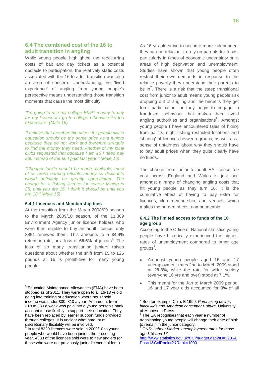#### **6.4 The combined cost of the 16 to adult transition in angling**

While young people highlighted the reoccurring costs of bait and day tickets as a potential obstacle to participation, the relatively static costs associated with the 16 to adult transition was also an area of concern. Understanding the "lived experience" of angling from young people's perspective means understanding those transition moments that cause the most difficulty.

*"I'm going to use my college EMA<sup>5</sup> money to pay for my licence if I go to college otherwise it"s too expensive." (Male 16)*

*"I believe that membership prices for people still in education should be the same price as a juniors because they do not work and therefore struggle to find the money they need. Another of my local clubs requested that because I am 16 I need pay £30 instead of the £6 I paid last year." (Male 16)*

*"Cheaper tackle should be made available, most of us aren't earning reliable money so discounts would definitely be greatly appreciated. The charge for a fishing licence for coarse fishing is £5, until you are 16, I think it should be until you are 18." (Male 15)*

#### **6.4.1 Licences and Membership fees**

 $\overline{a}$ 

At the transition from the March 2008/09 season to the March 2009/10 season, of the 11,309 Environment Agency junior licence holders who were then eligible to buy an adult licence, only 3891 renewed them. This amounts to a **34.4%** retention rate, or a loss of 65.6% of juniors<sup>6</sup>. The loss of so many transitioning juniors raises questions about whether the shift from £5 to £25 pounds at 16 is prohibitive for many young people.

As 16 yrs old strive to become more independent they can be reluctant to rely on parents for funds, particularly in times of economic uncertainty or in areas of high deprivation and unemployment. Studies have shown that young people often restrict their own demands in response to the relative poverty they understand their parents to be in<sup>7</sup>. There is a risk that the steep transitional cost from junior to adult means young people risk dropping out of angling and the benefits they get form participation, or they begin to engage in fraudulent behaviour that makes them avoid angling authorities and organisations<sup>8</sup>. Amongst young people I have encountered tales of hiding from bailiffs, night fishing restricted locations and 'sharing' of licences between groups, as well as a sense of unfairness about why they should have to pay adult prices when they quite clearly have no funds.

The change from junior to adult EA licence fee cost across England and Wales is just one amongst a range of changing angling costs that hit young people as they turn 16. It is the cumulative effect of having to pay extra for licences, club membership, and venues, which makes the burden of cost unmanageable.

#### **6.4.2 The limited access to funds of the 16+ age group**

According to the Office of National statistics young people have historically experienced the highest rates of unemployment compared to other age groups $^9$ .

- Amongst young people aged 16 and 17 unemployment rates Jan to March 2009 stood at **29.3%,** while the rate for wider society (everyone 16 yrs and over) stood at 7.1%.
- This meant for the Jan to March 2009 period, 16 and 17 year olds accounted for **9%** of all

 $\overline{a}$ 

<sup>&</sup>lt;sup>5</sup> Education Maintenance Allowances (EMA) have been stopped as of 2011. They were open to all 16-18 yr old going into training or education where household income was under £30, 810 a year. An amount from £10 to £30 a week was paid into a young person's bank account to use flexibly to support their education. They have been replaced by learner support funds provided through colleges. It is unclear what amount of discretionary flexibility will be involved.

<sup>&</sup>lt;sup>6</sup> In total 8229 licences were sold in 2009/10 to young people who would have been juniors the preceding year. 4338 of the licences sold were to new anglers (or those who were not previously junior licence holders.)

<sup>7</sup> See for example Chin, E 1999. *Purchasing power: black kids and American consumer Culture.* University of Minnesota Press.

<sup>8</sup> The EA recognises that each year a number of transitioning young people will change their date of birth to remain in the junior category.

<sup>9</sup> ONS: *Labour Market: unemployment rates for those aged 16 and 17.*

[http://www.statistics.gov.uk/CCI/nugget.asp?ID=2205&](http://www.statistics.gov.uk/CCI/nugget.asp?ID=2205&Pos=1&ColRank=2&Rank=1000) [Pos=1&ColRank=2&Rank=1000](http://www.statistics.gov.uk/CCI/nugget.asp?ID=2205&Pos=1&ColRank=2&Rank=1000)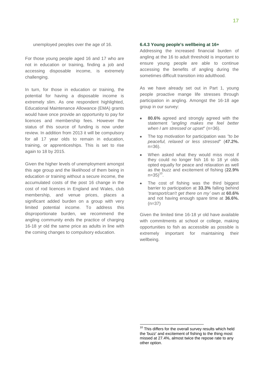unemployed peoples over the age of 16.

For those young people aged 16 and 17 who are not in education or training, finding a job and accessing disposable income, is extremely challenging.

In turn, for those in education or training, the potential for having a disposable income is extremely slim. As one respondent highlighted, Educational Maintenance Allowance (EMA) grants would have once provide an opportunity to pay for licences and membership fees. However the status of this source of funding is now under review. In addition from 2013 it will be compulsory for all 17 year olds to remain in education, training, or apprenticeships. This is set to rise again to 18 by 2015.

Given the higher levels of unemployment amongst this age group and the likelihood of them being in education or training without a secure income, the accumulated costs of the post 16 change in the cost of rod licences in England and Wales, club membership, and venue prices, places a significant added burden on a group with very limited potential income. To address this disproportionate burden, we recommend the angling community ends the practice of charging 16-18 yr old the same price as adults in line with the coming changes to compulsory education.

#### **6.4.3 Young people's wellbeing at 16+**

Addressing the increased financial burden of angling at the 16 to adult threshold is important to ensure young people are able to continue accessing the benefits of angling during the sometimes difficult transition into adulthood.

As we have already set out in Part 1, young people proactive mange life stresses through participation in angling. Amongst the 16-18 age group in our survey:

- **80.6%** agreed and strongly agreed with the statement *"angling makes me feel better when I am stressed or upset*" (n=36).
- The top motivation for participation was *"to be peaceful, relaxed or less stressed*" (**47.2%.** n=36).
- When asked what they would miss most if they could no longer fish 16 to 18 yr olds opted equally for peace and relaxation as well as the buzz and excitement of fishing (**22.9%**  $n=35)$ <sup>10</sup>.
- The cost of fishing was the third biggest barrier to participation at **33.3%** falling behind "*transport/can't get there on my"* own at **60.6%** and not having enough spare time at **36.6%.**  $(n=37)$

Given the limited time 16-18 yr old have available with commitments at school or college, making opportunities to fish as accessible as possible is extremely important for maintaining their wellbeing.

 $\overline{a}$ 

<sup>&</sup>lt;sup>10</sup> This differs for the overall survey results which held the 'buzz' and excitement of fishing to the thing most missed at 27.4%, almost twice the repose rate to any other option.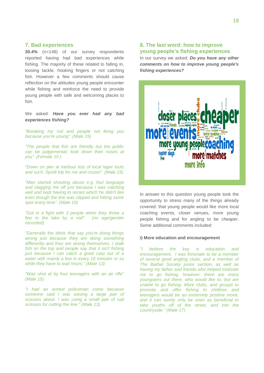#### **7. Bad experiences**

**30.4%** (n=148) of our survey respondents reported having had bad experiences while fishing. The majority of these related to falling in, loosing tackle, hooking fingers or not catching fish. However a few comments should cause reflection on the attitudes young people encounter while fishing and reinforce the need to provide young people with safe and welcoming places to fish.

We asked: *Have you ever had any bad experiences fishing?*

*"Breaking my rod and people not liking you because you're young". (Male 15)*

*"The people that fish are friendly but the public can be judgemental, look down their noses at you". (Female 15 )*

*"Down on pier at harbour lots of local lager louts and such. Spoilt trip for me and cousin". (Male 15)*

*"Man started shouting abuse e.g. foul language and slagging me off just because I was catching well and kept having to recast which he didn't like even though the line was clipped and hitting same spot every time". (Male 15)*

*"Got in a fight with 3 people when they threw a few in the lake by a rod". (no age/gender recorded)*

*"Generally the idiots that say you're doing things wrong just because they are doing something differently and they are wrong themselves. I stalk fish on the top and people say that it isn't fishing just because I can catch a good carp out of a water with mainly a few in every 15 minutes or so while they have to wait hours." (Male 13)*

*"Was shot at by four teenagers with an air rifle" (Male 15)*

*"I had an armed policeman come because someone said I was waving a large pair of scissors about. I was using a small pair of nail scissors for cutting the line." (Male 13)*

#### **8. The last word: how to improve young people's fishing experiences**

In our survey we asked: *Do you have any other comments on how to improve young people's fishing experiences?*



In answer to this question young people took the opportunity to stress many of the things already covered: that young people would like more local coaching events, closer venues, more young people fishing and for angling to be cheaper. Some additional comments included:

#### **i) More education and encouragement**

*"I believe the key is education and encouragement. I was fortunate to be a member of several good angling clubs, and a member of The Barbel Society junior section, as well as having my father and friends who helped motivate me to go fishing, however, there are many youngsters out there, who would like to, but are unable to go fishing. More clubs, and groups to promote and offer fishing to children and teenagers would be an extremely positive move, and it can surely only be seen as beneficial to take youths off of the street, and into the countryside." (Male 17)*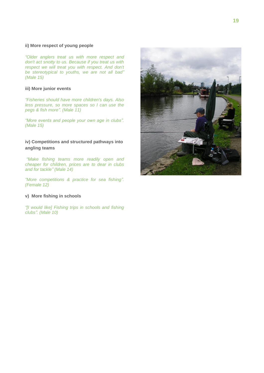#### **ii) More respect of young people**

*"Older anglers treat us with more respect and don't act snotty to us. Because if you treat us with respect we will treat you with respect. And don't be stereotypical to youths, we are not all bad" (Male 15)*

#### **iii) More junior events**

*"Fisheries should have more children's days. Also less pressure, so more spaces so I can use the pegs & fish more". (Male 11)*

*"More events and people your own age in clubs". (Male 15)*

#### **iv) Competitions and structured pathways into angling teams**

*"Make fishing teams more readily open and cheaper for children, prices are to dear in clubs and for tackle" (Male 14)*

*"More competitions & practice for sea fishing". (Female 12)*

#### **v) More fishing in schools**

*"[I would like] Fishing trips in schools and fishing clubs". (Male 10)*

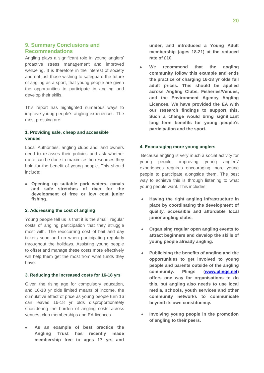#### **9. Summary Conclusions and Recommendations**

Angling plays a significant role in young anglers' proactive stress management and improved wellbeing. It is therefore in the interest of society and not just those wishing to safeguard the future of angling as a sport, that young people are given the opportunities to participate in angling and develop their skills.

This report has highlighted numerous ways to improve young people's angling experiences. The most pressing are:

#### **1. Providing safe, cheap and accessible venues**

Local Authorities, angling clubs and land owners need to re-asses their policies and ask whether more can be done to maximise the resources they hold for the benefit of young people. This should include:

**Opening up suitable park waters, canals and safe stretches of river for the development of free or low cost junior fishing.**

#### **2. Addressing the cost of angling**

Young people tell us is that it is the small, regular costs of angling participation that they struggle most with. The reoccurring cost of bait and day tickets soon add up when participating regularly throughout the holidays. Assisting young people to offset and manage these costs more effectively will help them get the most from what funds they have.

#### **3. Reducing the increased costs for 16-18 yrs**

Given the rising age for compulsory education, and 16-18 yr olds limited means of income, the cumulative effect of price as young people turn 16 can leaves 16-18 yr olds disproportionately shouldering the burden of angling costs across venues, club memberships and EA licences.

**As an example of best practice the Angling Trust has recently made membership free to ages 17 yrs and** 

**under, and introduced a Young Adult membership (ages 18-21) at the reduced rate of £10.**

**We recommend that the angling community follow this example and ends the practice of charging 16-18 yr olds full adult prices. This should be applied across Angling Clubs, Fisheries/Venues, and the Environment Agency Angling Licences. We have provided the EA with our research findings to support this. Such a change would bring significant long term benefits for young people's participation and the sport.**

#### **4. Encouraging more young anglers**

Because angling is very much a social activity for young people, improving young anglers" experiences requires encouraging more young people to participate alongside them. The best way to achieve this is through listening to what young people want. This includes:

- **Having the right angling infrastructure in place by coordinating the development of quality, accessible and affordable local junior angling clubs.**
- **Organising regular open angling events to attract beginners and develop the skills of young people already angling.**
- **Publicising the benefits of angling and the opportunities to get involved to young people and parents outside of the angling community. Plings [\(www.plings.net\)](http://www.plings.net/) offers one way for organisations to do this, but angling also needs to use local media, schools, youth services and other community networks to communicate beyond its own constituency.**
- **Involving young people in the promotion of angling to their peers.**